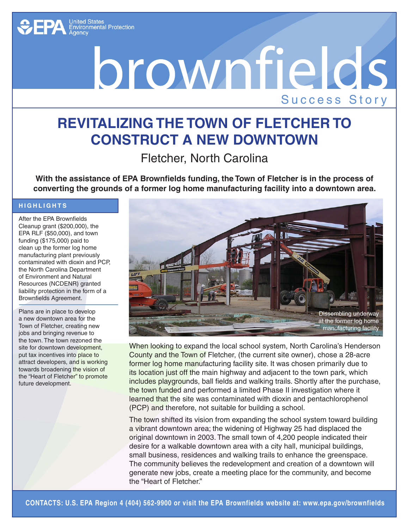

## Drownfields

## **Revitalizing the Town of Fletcher to Construct a New Downtown**

Fletcher, North Carolina

**With the assistance of EPA Brownfields funding, the Town of Fletcher is in the process of converting the grounds of a former log home manufacturing facility into a downtown area.**

## **Hig h lig h t s**

After the EPA Brownfields Cleanup grant (\$200,000), the EPA RLF (\$50,000), and town funding (\$175,000) paid to clean up the former log home manufacturing plant previously contaminated with dioxin and PCP, the North Carolina Department of Environment and Natural Resources (NCDENR) granted liability protection in the form of a Brownfields Agreement.

Plans are in place to develop a new downtown area for the Town of Fletcher, creating new jobs and bringing revenue to the town. The town rezoned the site for downtown development, put tax incentives into place to attract developers, and is working towards broadening the vision of the "Heart of Fletcher" to promote future development.



When looking to expand the local school system, North Carolina's Henderson County and the Town of Fletcher, (the current site owner), chose a 28-acre former log home manufacturing facility site. It was chosen primarily due to its location just off the main highway and adjacent to the town park, which includes playgrounds, ball fields and walking trails. Shortly after the purchase, the town funded and performed a limited Phase II investigation where it learned that the site was contaminated with dioxin and pentachlorophenol (PCP) and therefore, not suitable for building a school.

The town shifted its vision from expanding the school system toward building a vibrant downtown area; the widening of Highway 25 had displaced the original downtown in 2003. The small town of 4,200 people indicated their desire for a walkable downtown area with a city hall, municipal buildings, small business, residences and walking trails to enhance the greenspace. The community believes the redevelopment and creation of a downtown will generate new jobs, create a meeting place for the community, and become the "Heart of Fletcher."